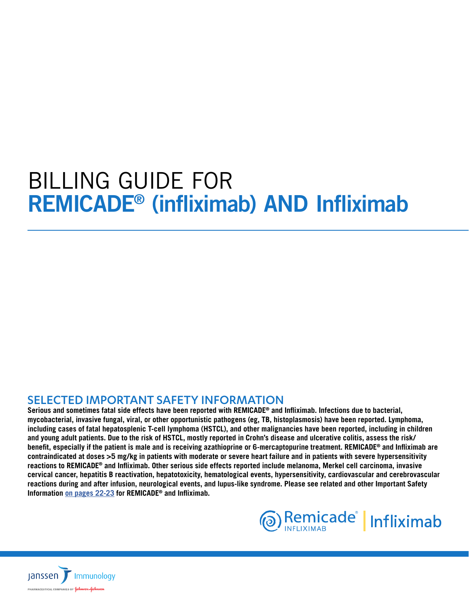# <span id="page-0-0"></span>BILLING GUIDE FOR REMICADE® (infliximab) AND Infliximab

## SELECTED IMPORTANT SAFETY INFORMATION

**Serious and sometimes fatal side effects have been reported with REMICADE® and Infliximab. Infections due to bacterial, mycobacterial, invasive fungal, viral, or other opportunistic pathogens (eg, TB, histoplasmosis) have been reported. Lymphoma, including cases of fatal hepatosplenic T-cell lymphoma (HSTCL), and other malignancies have been reported, including in children and young adult patients. Due to the risk of HSTCL, mostly reported in Crohn's disease and ulcerative colitis, assess the risk/ benefit, especially if the patient is male and is receiving azathioprine or 6-mercaptopurine treatment. REMICADE® and Infliximab are contraindicated at doses >5 mg/kg in patients with moderate or severe heart failure and in patients with severe hypersensitivity reactions to REMICADE® and Infliximab. Other serious side effects reported include melanoma, Merkel cell carcinoma, invasive cervical cancer, hepatitis B reactivation, hepatotoxicity, hematological events, hypersensitivity, cardiovascular and cerebrovascular reactions during and after infusion, neurological events, and lupus-like syndrome. Please see related and other Important Safety Information [on pages 22-23](#page-21-0) for REMICADE® and Infliximab.**



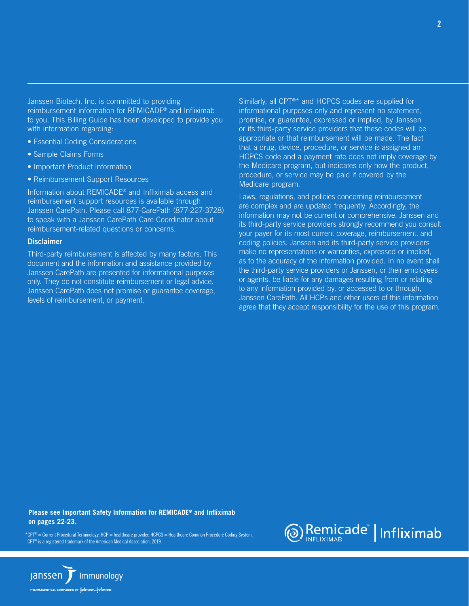Janssen Biotech, Inc. is committed to providing reimbursement information for REMICADE® and Infliximab to you. This Billing Guide has been developed to provide you with information regarding:

- Essential Coding Considerations
- Sample Claims Forms
- Important Product Information
- Reimbursement Support Resources

Information about REMICADE® and Infliximab access and reimbursement support resources is available through Janssen CarePath. Please call 877-CarePath (877-227-3728) to speak with a Janssen CarePath Care Coordinator about reimbursement-related questions or concerns.

#### **Disclaimer**

Third-party reimbursement is affected by many factors. This document and the information and assistance provided by Janssen CarePath are presented for informational purposes only. They do not constitute reimbursement or legal advice. Janssen CarePath does not promise or guarantee coverage, levels of reimbursement, or payment.

Similarly, all CPT®\* and HCPCS codes are supplied for informational purposes only and represent no statement, promise, or guarantee, expressed or implied, by Janssen or its third-party service providers that these codes will be appropriate or that reimbursement will be made. The fact that a drug, device, procedure, or service is assigned an HCPCS code and a payment rate does not imply coverage by the Medicare program, but indicates only how the product, procedure, or service may be paid if covered by the Medicare program.

Laws, regulations, and policies concerning reimbursement are complex and are updated frequently. Accordingly, the information may not be current or comprehensive. Janssen and its third-party service providers strongly recommend you consult your payer for its most current coverage, reimbursement, and coding policies. Janssen and its third-party service providers make no representations or warranties, expressed or implied, as to the accuracy of the information provided. In no event shall the third-party service providers or Janssen, or their employees or agents, be liable for any damages resulting from or relating to any information provided by, or accessed to or through, Janssen CarePath. All HCPs and other users of this information agree that they accept responsibility for the use of this program.

**[Please see Important Safety Information for REMICADE® and Infliximab](#page-21-0)  [on pages 22-23.](#page-21-0)**

\*CPT® = Current Procedural Terminology; HCP = healthcare provider; HCPCS = Healthcare Common Procedure Coding System. CPT® is a registered trademark of the American Medical Association, 2019.



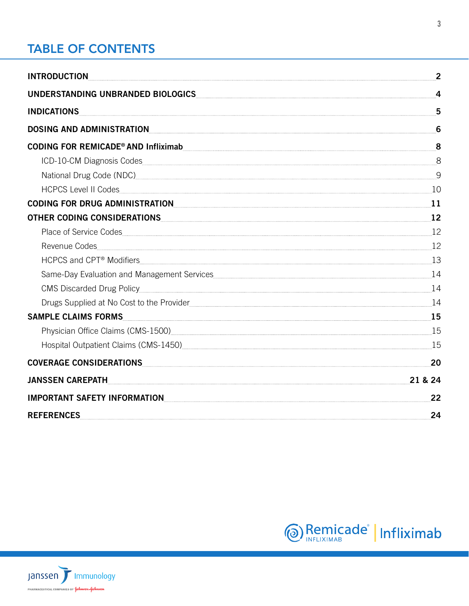## <span id="page-2-0"></span>[TABLE OF CONTENTS](#page-7-0)

| INTRODUCTION                                                                                                                                                                                                                            | $\sim$ 2 |
|-----------------------------------------------------------------------------------------------------------------------------------------------------------------------------------------------------------------------------------------|----------|
| UNDERSTANDING UNBRANDED BIOLOGICS 4                                                                                                                                                                                                     |          |
| <u>INDICATIONS 5</u>                                                                                                                                                                                                                    |          |
| DOSING AND ADMINISTRATION                                                                                                                                                                                                               | 6        |
|                                                                                                                                                                                                                                         |          |
| ICD-10-CM Diagnosis Codes 8                                                                                                                                                                                                             |          |
| National Drug Code (NDC)                                                                                                                                                                                                                |          |
|                                                                                                                                                                                                                                         |          |
| CODING FOR DRUG ADMINISTRATION <b>Example 2018</b> 11                                                                                                                                                                                   |          |
| OTHER CODING CONSIDERATIONS 12                                                                                                                                                                                                          |          |
|                                                                                                                                                                                                                                         |          |
| Revenue Codes 12                                                                                                                                                                                                                        |          |
| HCPCS and CPT® Modifiers 13                                                                                                                                                                                                             |          |
|                                                                                                                                                                                                                                         |          |
| CMS Discarded Drug Policy 24                                                                                                                                                                                                            |          |
| Drugs Supplied at No Cost to the Provider [11] [14] [15] [15] [15] [15] [14] [14] [14] [14] [14] [15] [15] [15] [14] [15] [15] [15] [15] [15] [15] [15] [16] [15] [16] [15] [16] [15] [16] [15] [16] [15] [16] [15] [16] [15]           |          |
| SAMPLE CLAIMS FORMS                                                                                                                                                                                                                     |          |
| Physician Office Claims (CMS-1500) <sub></sub> 25. 2008 2014 2022 2023 2024 2025 215 215 22 22 23 24 25 22 23 24 25 25 25 26 27 27 27 27 27 27 27 27 27 27 27 27 28 2021 2021 2021 2022 2023 215 22 22 23 24 25 27 27 27 27 27 27 27 27 |          |
|                                                                                                                                                                                                                                         |          |
| COVERAGE CONSIDERATIONS                                                                                                                                                                                                                 | 20       |
| <b>JANSSEN CAREPATH</b>                                                                                                                                                                                                                 | 21 & 24  |
| IMPORTANT SAFETY INFORMATION                                                                                                                                                                                                            | 22       |
| <b>REFERENCES</b>                                                                                                                                                                                                                       | 24       |



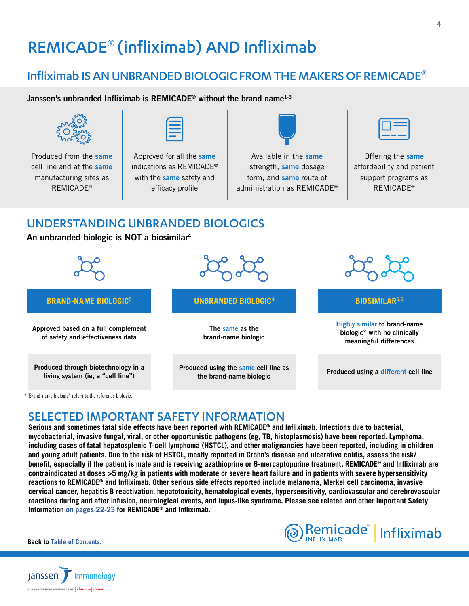# REMICADE® (infliximab) AND Infliximab

## Infliximab IS AN UNBRANDED BIOLOGIC FROM THE MAKERS OF REMICADE®

Janssen's unbranded Infliximab is REMICADE<sup>®</sup> without the brand name<sup>1-3</sup>



Produced from the same cell line and at the same manufacturing sites as REMICADE®



Approved for all the same indications as REMICADE® with the same safety and efficacy profile



Available in the same strength, same dosage form, and same route of administration as REMICADE®

Offering the same affordability and patient support programs as REMICADE®

## UNDERSTANDING UNBRANDED BIOLOGICS

An unbranded biologic is NOT a biosimilar4



## SELECTED IMPORTANT SAFETY INFORMATION

**Serious and sometimes fatal side effects have been reported with REMICADE® and Infliximab. Infections due to bacterial, mycobacterial, invasive fungal, viral, or other opportunistic pathogens (eg, TB, histoplasmosis) have been reported. Lymphoma, including cases of fatal hepatosplenic T-cell lymphoma (HSTCL), and other malignancies have been reported, including in children and young adult patients. Due to the risk of HSTCL, mostly reported in Crohn's disease and ulcerative colitis, assess the risk/ benefit, especially if the patient is male and is receiving azathioprine or 6-mercaptopurine treatment. REMICADE® and Infliximab are contraindicated at doses >5 mg/kg in patients with moderate or severe heart failure and in patients with severe hypersensitivity reactions to REMICADE® and Infliximab. Other serious side effects reported include melanoma, Merkel cell carcinoma, invasive cervical cancer, hepatitis B reactivation, hepatotoxicity, hematological events, hypersensitivity, cardiovascular and cerebrovascular reactions during and after infusion, neurological events, and lupus-like syndrome. Please see related and other Important Safety Information [on pages 22-23](#page-21-0) for REMICADE® and Infliximab.**



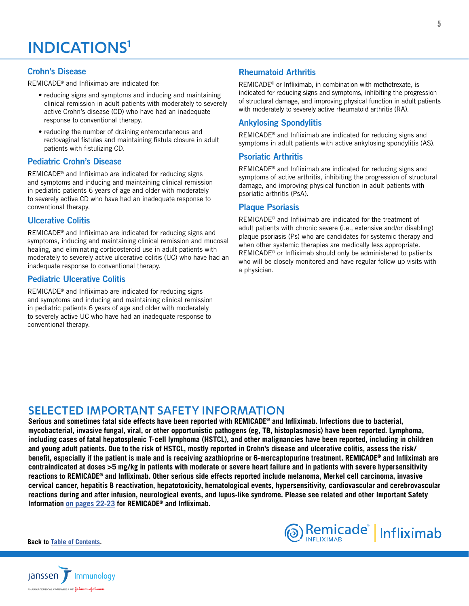## <span id="page-4-0"></span>Crohn's Disease

REMICADE® and Infliximab are indicated for:

- reducing signs and symptoms and inducing and maintaining clinical remission in adult patients with moderately to severely active Crohn's disease (CD) who have had an inadequate response to conventional therapy.
- reducing the number of draining enterocutaneous and rectovaginal fistulas and maintaining fistula closure in adult patients with fistulizing CD.

## Pediatric Crohn's Disease

REMICADE® and Infliximab are indicated for reducing signs and symptoms and inducing and maintaining clinical remission in pediatric patients 6 years of age and older with moderately to severely active CD who have had an inadequate response to conventional therapy.

## Ulcerative Colitis

REMICADE® and Infliximab are indicated for reducing signs and symptoms, inducing and maintaining clinical remission and mucosal healing, and eliminating corticosteroid use in adult patients with moderately to severely active ulcerative colitis (UC) who have had an inadequate response to conventional therapy.

## Pediatric Ulcerative Colitis

REMICADE® and Infliximab are indicated for reducing signs and symptoms and inducing and maintaining clinical remission in pediatric patients 6 years of age and older with moderately to severely active UC who have had an inadequate response to conventional therapy.

## Rheumatoid Arthritis

REMICADE® or Infliximab, in combination with methotrexate, is indicated for reducing signs and symptoms, inhibiting the progression of structural damage, and improving physical function in adult patients with moderately to severely active rheumatoid arthritis (RA).

## Ankylosing Spondylitis

REMICADE® and Infliximab are indicated for reducing signs and symptoms in adult patients with active ankylosing spondylitis (AS).

## Psoriatic Arthritis

REMICADE® and Infliximab are indicated for reducing signs and symptoms of active arthritis, inhibiting the progression of structural damage, and improving physical function in adult patients with psoriatic arthritis (PsA).

## Plaque Psoriasis

REMICADE® and Infliximab are indicated for the treatment of adult patients with chronic severe (i.e., extensive and/or disabling) plaque psoriasis (Ps) who are candidates for systemic therapy and when other systemic therapies are medically less appropriate. REMICADE® or Infliximab should only be administered to patients who will be closely monitored and have regular follow-up visits with a physician.

## SELECTED IMPORTANT SAFETY INFORMATION

**Serious and sometimes fatal side effects have been reported with REMICADE® and Infliximab. Infections due to bacterial, mycobacterial, invasive fungal, viral, or other opportunistic pathogens (eg, TB, histoplasmosis) have been reported. Lymphoma, including cases of fatal hepatosplenic T-cell lymphoma (HSTCL), and other malignancies have been reported, including in children and young adult patients. Due to the risk of HSTCL, mostly reported in Crohn's disease and ulcerative colitis, assess the risk/ benefit, especially if the patient is male and is receiving azathioprine or 6-mercaptopurine treatment. REMICADE® and Infliximab are contraindicated at doses >5 mg/kg in patients with moderate or severe heart failure and in patients with severe hypersensitivity reactions to REMICADE® and Infliximab. Other serious side effects reported include melanoma, Merkel cell carcinoma, invasive cervical cancer, hepatitis B reactivation, hepatotoxicity, hematological events, hypersensitivity, cardiovascular and cerebrovascular reactions during and after infusion, neurological events, and lupus-like syndrome. Please see related and other Important Safety Information [on pages 22-23](#page-21-0) for REMICADE® and Infliximab.**



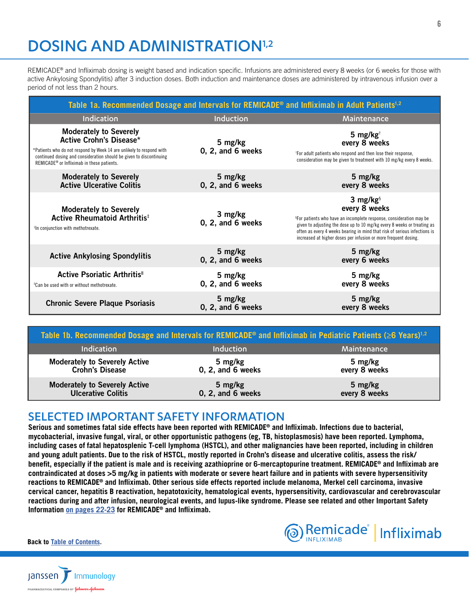# <span id="page-5-0"></span>DOSING AND ADMINISTRATION<sup>1,2</sup>

REMICADE<sup>®</sup> and Infliximab dosing is weight based and indication specific. Infusions are administered every 8 weeks (or 6 weeks for those with active Ankylosing Spondylitis) after 3 induction doses. Both induction and maintenance doses are administered by intravenous infusion over a period of not less than 2 hours.

| Table 1a. Recommended Dosage and Intervals for REMICADE <sup>®</sup> and Infliximab in Adult Patients <sup>1,2</sup>                                                                                                                                                     |                                |                                                                                                                                                                                                                                                                                                                                                      |  |  |  |  |  |  |  |  |
|--------------------------------------------------------------------------------------------------------------------------------------------------------------------------------------------------------------------------------------------------------------------------|--------------------------------|------------------------------------------------------------------------------------------------------------------------------------------------------------------------------------------------------------------------------------------------------------------------------------------------------------------------------------------------------|--|--|--|--|--|--|--|--|
| Indication                                                                                                                                                                                                                                                               | Induction                      | Maintenance                                                                                                                                                                                                                                                                                                                                          |  |  |  |  |  |  |  |  |
| <b>Moderately to Severely</b><br><b>Active Crohn's Disease*</b><br>*Patients who do not respond by Week 14 are unlikely to respond with<br>continued dosing and consideration should be given to discontinuing<br>REMICADE <sup>®</sup> or Infliximab in these patients. | 5 mg/kg<br>0, 2, and 6 weeks   | 5 mg/kg $\dagger$<br>every 8 weeks<br><sup>†</sup> For adult patients who respond and then lose their response,<br>consideration may be given to treatment with 10 mg/kg every 8 weeks.                                                                                                                                                              |  |  |  |  |  |  |  |  |
| <b>Moderately to Severely</b><br><b>Active Ulcerative Colitis</b>                                                                                                                                                                                                        | 5 mg/kg<br>0, 2, and 6 weeks   | 5 mg/kg<br>every 8 weeks                                                                                                                                                                                                                                                                                                                             |  |  |  |  |  |  |  |  |
| <b>Moderately to Severely</b><br>Active Rheumatoid Arthritis <sup>#</sup><br><sup>#</sup> In conjunction with methotrexate.                                                                                                                                              | 3 mg/kg<br>0, 2, and 6 weeks   | 3 mg/kg $\frac{1}{2}$<br>every 8 weeks<br><sup>§</sup> For patients who have an incomplete response, consideration may be<br>given to adjusting the dose up to 10 mg/kg every 8 weeks or treating as<br>often as every 4 weeks bearing in mind that risk of serious infections is<br>increased at higher doses per infusion or more frequent dosing. |  |  |  |  |  |  |  |  |
| <b>Active Ankylosing Spondylitis</b>                                                                                                                                                                                                                                     | 5 mg/kg<br>0, 2, and 6 weeks   | 5 mg/kg<br>every 6 weeks                                                                                                                                                                                                                                                                                                                             |  |  |  |  |  |  |  |  |
| Active Psoriatic Arthritis"<br>"Can be used with or without methotrexate.                                                                                                                                                                                                | 5 mg/kg<br>$0, 2,$ and 6 weeks | 5 mg/kg<br>every 8 weeks                                                                                                                                                                                                                                                                                                                             |  |  |  |  |  |  |  |  |
| <b>Chronic Severe Plaque Psoriasis</b>                                                                                                                                                                                                                                   | 5 mg/kg<br>$0, 2,$ and 6 weeks | 5 mg/kg<br>every 8 weeks                                                                                                                                                                                                                                                                                                                             |  |  |  |  |  |  |  |  |

| Table 1b. Recommended Dosage and Intervals for REMICADE <sup>®</sup> and Infliximab in Pediatric Patients ( $\geq$ 6 Years) <sup>1,2</sup> |                                |                          |
|--------------------------------------------------------------------------------------------------------------------------------------------|--------------------------------|--------------------------|
| <b>Indication</b>                                                                                                                          | <b>Induction</b>               | Maintenance              |
| <b>Moderately to Severely Active</b><br><b>Crohn's Disease</b>                                                                             | 5 mg/kg<br>$0, 2,$ and 6 weeks | 5 mg/kg<br>every 8 weeks |
| Moderately to Severely Active<br><b>Ulcerative Colitis</b>                                                                                 | 5 mg/kg<br>0, 2, and 6 weeks   | 5 mg/kg<br>every 8 weeks |

## SELECTED IMPORTANT SAFETY INFORMATION

**Serious and sometimes fatal side effects have been reported with REMICADE® and Infliximab. Infections due to bacterial, mycobacterial, invasive fungal, viral, or other opportunistic pathogens (eg, TB, histoplasmosis) have been reported. Lymphoma, including cases of fatal hepatosplenic T-cell lymphoma (HSTCL), and other malignancies have been reported, including in children and young adult patients. Due to the risk of HSTCL, mostly reported in Crohn's disease and ulcerative colitis, assess the risk/ benefit, especially if the patient is male and is receiving azathioprine or 6-mercaptopurine treatment. REMICADE® and Infliximab are contraindicated at doses >5 mg/kg in patients with moderate or severe heart failure and in patients with severe hypersensitivity reactions to REMICADE® and Infliximab. Other serious side effects reported include melanoma, Merkel cell carcinoma, invasive cervical cancer, hepatitis B reactivation, hepatotoxicity, hematological events, hypersensitivity, cardiovascular and cerebrovascular reactions during and after infusion, neurological events, and lupus-like syndrome. Please see related and other Important Safety Information [on pages 22-23](#page-21-0) for REMICADE® and Infliximab.**



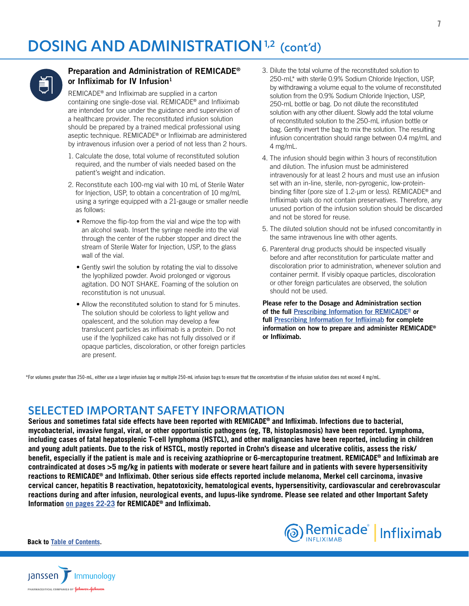## DOSING AND ADMINISTRATION<sup>1,2</sup> (cont'd)



## Preparation and Administration of REMICADE® or Infliximab for IV Infusion<sup>1</sup>

REMICADE® and Infliximab are supplied in a carton containing one single-dose vial. REMICADE® and Infliximab are intended for use under the guidance and supervision of a healthcare provider. The reconstituted infusion solution should be prepared by a trained medical professional using aseptic technique. REMICADE® or Infliximab are administered by intravenous infusion over a period of not less than 2 hours.

- 1. Calculate the dose, total volume of reconstituted solution required, and the number of vials needed based on the patient's weight and indication.
- 2. Reconstitute each 100-mg vial with 10 mL of Sterile Water for Injection, USP, to obtain a concentration of 10 mg/mL using a syringe equipped with a 21-gauge or smaller needle as follows:
	- Remove the flip-top from the vial and wipe the top with an alcohol swab. Insert the syringe needle into the vial through the center of the rubber stopper and direct the stream of Sterile Water for Injection, USP, to the glass wall of the vial.
	- Gently swirl the solution by rotating the vial to dissolve the lyophilized powder. Avoid prolonged or vigorous agitation. DO NOT SHAKE. Foaming of the solution on reconstitution is not unusual.
	- Allow the reconstituted solution to stand for 5 minutes. The solution should be colorless to light yellow and opalescent, and the solution may develop a few translucent particles as infliximab is a protein. Do not use if the lyophilized cake has not fully dissolved or if opaque particles, discoloration, or other foreign particles are present.
- 3. Dilute the total volume of the reconstituted solution to 250-mL\* with sterile 0.9% Sodium Chloride Injection, USP, by withdrawing a volume equal to the volume of reconstituted solution from the 0.9% Sodium Chloride Injection, USP, 250-mL bottle or bag. Do not dilute the reconstituted solution with any other diluent. Slowly add the total volume of reconstituted solution to the 250-mL infusion bottle or bag. Gently invert the bag to mix the solution. The resulting infusion concentration should range between 0.4 mg/mL and 4 mg/mL.
- 4. The infusion should begin within 3 hours of reconstitution and dilution. The infusion must be administered intravenously for at least 2 hours and must use an infusion set with an in-line, sterile, non-pyrogenic, low-proteinbinding filter (pore size of 1.2-μm or less). REMICADE® and Infliximab vials do not contain preservatives. Therefore, any unused portion of the infusion solution should be discarded and not be stored for reuse.
- 5. The diluted solution should not be infused concomitantly in the same intravenous line with other agents.
- 6. Parenteral drug products should be inspected visually before and after reconstitution for particulate matter and discoloration prior to administration, whenever solution and container permit. If visibly opaque particles, discoloration or other foreign particulates are observed, the solution should not be used.

Please refer to the Dosage and Administration section of the full [Prescribing Information for REMICADE®](https://www.janssenlabels.com/package-insert/product-monograph/prescribing-information/REMICADE-pi.pdf) or full [Prescribing Information for Infliximab](https://janssenlabels.com/package-insert/product-monograph/prescribing-information/Infliximab-pi.pdf) for complete information on how to prepare and administer REMICADE® or Infliximab.

\*For volumes greater than 250-mL, either use a larger infusion bag or multiple 250-mL infusion bags to ensure that the concentration of the infusion solution does not exceed 4 mg/mL.

## SELECTED IMPORTANT SAFETY INFORMATION

**Serious and sometimes fatal side effects have been reported with REMICADE® and Infliximab. Infections due to bacterial, mycobacterial, invasive fungal, viral, or other opportunistic pathogens (eg, TB, histoplasmosis) have been reported. Lymphoma, including cases of fatal hepatosplenic T-cell lymphoma (HSTCL), and other malignancies have been reported, including in children and young adult patients. Due to the risk of HSTCL, mostly reported in Crohn's disease and ulcerative colitis, assess the risk/ benefit, especially if the patient is male and is receiving azathioprine or 6-mercaptopurine treatment. REMICADE® and Infliximab are contraindicated at doses >5 mg/kg in patients with moderate or severe heart failure and in patients with severe hypersensitivity reactions to REMICADE® and Infliximab. Other serious side effects reported include melanoma, Merkel cell carcinoma, invasive cervical cancer, hepatitis B reactivation, hepatotoxicity, hematological events, hypersensitivity, cardiovascular and cerebrovascular reactions during and after infusion, neurological events, and lupus-like syndrome. Please see related and other Important Safety Information [on pages 22-23](#page-21-0) for REMICADE® and Infliximab.**



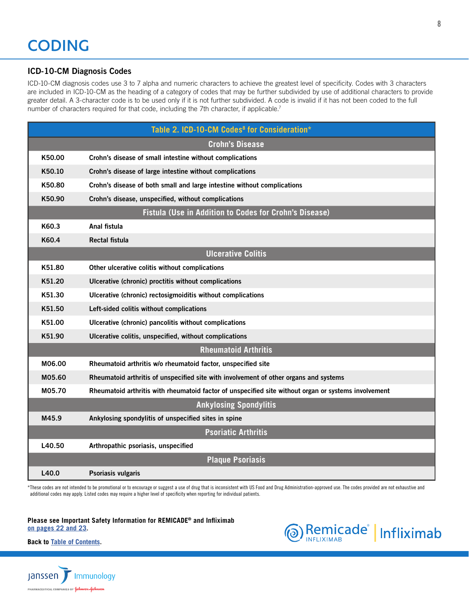## <span id="page-7-0"></span>ICD-10-CM Diagnosis Codes

ICD-10-CM diagnosis codes use 3 to 7 alpha and numeric characters to achieve the greatest level of specificity. Codes with 3 characters are included in ICD-10-CM as the heading of a category of codes that may be further subdivided by use of additional characters to provide greater detail. A 3-character code is to be used only if it is not further subdivided. A code is invalid if it has not been coded to the full number of characters required for that code, including the 7th character, if applicable.<sup>7</sup>

|        | Table 2. ICD-10-CM Codes <sup>8</sup> for Consideration*                                             |
|--------|------------------------------------------------------------------------------------------------------|
|        | <b>Crohn's Disease</b>                                                                               |
| K50.00 | Crohn's disease of small intestine without complications                                             |
| K50.10 | Crohn's disease of large intestine without complications                                             |
| K50.80 | Crohn's disease of both small and large intestine without complications                              |
| K50.90 | Crohn's disease, unspecified, without complications                                                  |
|        | <b>Fistula (Use in Addition to Codes for Crohn's Disease)</b>                                        |
| K60.3  | Anal fistula                                                                                         |
| K60.4  | Rectal fistula                                                                                       |
|        | <b>Ulcerative Colitis</b>                                                                            |
| K51.80 | Other ulcerative colitis without complications                                                       |
| K51.20 | Ulcerative (chronic) proctitis without complications                                                 |
| K51.30 | Ulcerative (chronic) rectosigmoiditis without complications                                          |
| K51.50 | Left-sided colitis without complications                                                             |
| K51.00 | Ulcerative (chronic) pancolitis without complications                                                |
| K51.90 | Ulcerative colitis, unspecified, without complications                                               |
|        | <b>Rheumatoid Arthritis</b>                                                                          |
| M06.00 | Rheumatoid arthritis w/o rheumatoid factor, unspecified site                                         |
| M05.60 | Rheumatoid arthritis of unspecified site with involvement of other organs and systems                |
| M05.70 | Rheumatoid arthritis with rheumatoid factor of unspecified site without organ or systems involvement |
|        | <b>Ankylosing Spondylitis</b>                                                                        |
| M45.9  | Ankylosing spondylitis of unspecified sites in spine                                                 |
|        | <b>Psoriatic Arthritis</b>                                                                           |
| L40.50 | Arthropathic psoriasis, unspecified                                                                  |
|        | <b>Plaque Psoriasis</b>                                                                              |
| L40.0  | Psoriasis vulgaris                                                                                   |

\*These codes are not intended to be promotional or to encourage or suggest a use of drug that is inconsistent with US Food and Drug Administration-approved use. The codes provided are not exhaustive and additional codes may apply. Listed codes may require a higher level of specificity when reporting for individual patients.

**[Please see Important Safety Information for REMICADE® and Infliximab](#page-21-0) [on pages 22 and 2](#page-21-0)3.**



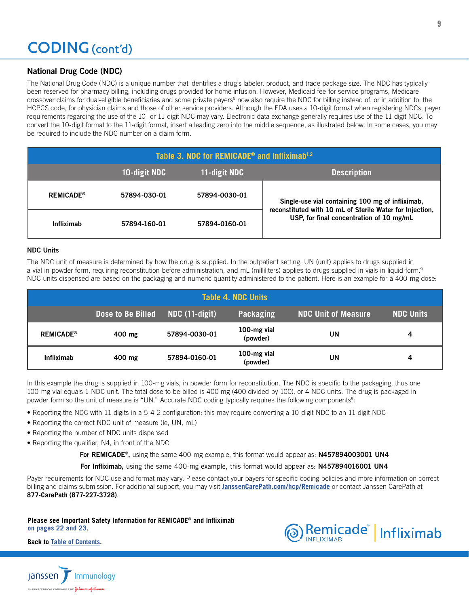## <span id="page-8-0"></span>National Drug Code (NDC)

The National Drug Code (NDC) is a unique number that identifies a drug's labeler, product, and trade package size. The NDC has typically been reserved for pharmacy billing, including drugs provided for home infusion. However, Medicaid fee-for-service programs, Medicare crossover claims for dual-eligible beneficiaries and some private payers<sup>9</sup> now also require the NDC for billing instead of, or in addition to, the HCPCS code, for physician claims and those of other service providers. Although the FDA uses a 10-digit format when registering NDCs, payer requirements regarding the use of the 10- or 11-digit NDC may vary. Electronic data exchange generally requires use of the 11-digit NDC. To convert the 10-digit format to the 11-digit format, insert a leading zero into the middle sequence, as illustrated below. In some cases, you may be required to include the NDC number on a claim form.

| Table 3. NDC for REMICADE <sup>®</sup> and Infliximab <sup>1,2</sup> |              |               |                                                                                                              |  |  |  |  |  |  |  |
|----------------------------------------------------------------------|--------------|---------------|--------------------------------------------------------------------------------------------------------------|--|--|--|--|--|--|--|
| 10-digit NDC<br><b>Description</b><br>11-digit NDC                   |              |               |                                                                                                              |  |  |  |  |  |  |  |
| <b>REMICADE®</b>                                                     | 57894-030-01 | 57894-0030-01 | Single-use vial containing 100 mg of infliximab,<br>reconstituted with 10 mL of Sterile Water for Injection, |  |  |  |  |  |  |  |
| <b>Infliximab</b>                                                    | 57894-160-01 | 57894-0160-01 | USP, for final concentration of 10 mg/mL                                                                     |  |  |  |  |  |  |  |

### NDC Units

The NDC unit of measure is determined by how the drug is supplied. In the outpatient setting, UN (unit) applies to drugs supplied in a vial in powder form, requiring reconstitution before administration, and mL (milliliters) applies to drugs supplied in vials in liquid form.<sup>9</sup> NDC units dispensed are based on the packaging and numeric quantity administered to the patient. Here is an example for a 400-mg dose:

|                             | <b>Table 4. NDC Units</b>                                                                          |               |                         |    |   |  |  |  |  |  |  |
|-----------------------------|----------------------------------------------------------------------------------------------------|---------------|-------------------------|----|---|--|--|--|--|--|--|
|                             | <b>NDC Units</b><br>Dose to Be Billed<br><b>NDC Unit of Measure</b><br>NDC (11-digit)<br>Packaging |               |                         |    |   |  |  |  |  |  |  |
| <b>REMICADE<sup>®</sup></b> | 400 mg                                                                                             | 57894-0030-01 | 100-mg vial<br>(powder) | UN | 4 |  |  |  |  |  |  |
| <b>Infliximab</b>           | 400 mg                                                                                             | 57894-0160-01 | 100-mg vial<br>(powder) | UN | 4 |  |  |  |  |  |  |

In this example the drug is supplied in 100-mg vials, in powder form for reconstitution. The NDC is specific to the packaging, thus one 100-mg vial equals 1 NDC unit. The total dose to be billed is 400 mg (400 divided by 100), or 4 NDC units. The drug is packaged in powder form so the unit of measure is "UN." Accurate NDC coding typically requires the following components<sup>9</sup>:

- Reporting the NDC with 11 digits in a 5-4-2 configuration; this may require converting a 10-digit NDC to an 11-digit NDC
- Reporting the correct NDC unit of measure (ie, UN, mL)
- Reporting the number of NDC units dispensed
- Reporting the qualifier, N4, in front of the NDC

For REMICADE<sup>®</sup>, using the same 400-mg example, this format would appear as: N457894003001 UN4

For Infliximab, using the same 400-mg example, this format would appear as: N457894016001 UN4

Payer requirements for NDC use and format may vary. Please contact your payers for specific coding policies and more information on correct billing and claims submission. For additional support, you may visit **[JanssenCarePath.com/hcp/Remicade](https://www.JanssenCarePath.com/hcp/remicade)** or contact Janssen CarePath at **877-CarePath (877-227-3728)**.

**[Please see Important Safety Information for REMICADE® and Infliximab](#page-21-0) [on pages 22 and 2](#page-21-0)3.**



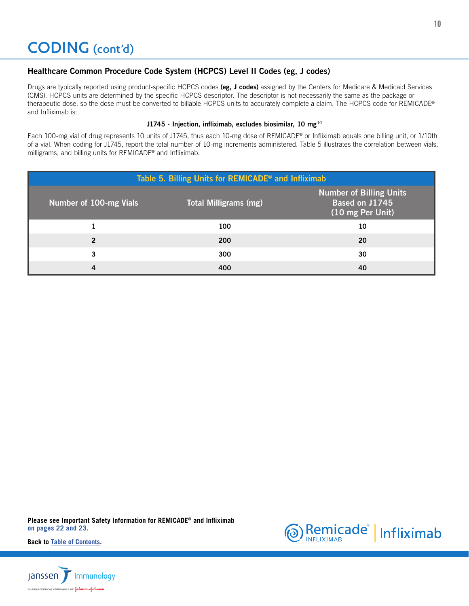## <span id="page-9-0"></span>CODING (cont'd)

## Healthcare Common Procedure Code System (HCPCS) Level II Codes (eg, J codes)

Drugs are typically reported using product-specific HCPCS codes (eg, J codes) assigned by the Centers for Medicare & Medicaid Services (CMS). HCPCS units are determined by the specific HCPCS descriptor. The descriptor is not necessarily the same as the package or therapeutic dose, so the dose must be converted to billable HCPCS units to accurately complete a claim. The HCPCS code for REMICADE® and Infliximab is:

#### J1745 - Injection, infliximab, excludes biosimilar, 10 mg<sup>10</sup>

Each 100-mg vial of drug represents 10 units of J1745, thus each 10-mg dose of REMICADE® or Infliximab equals one billing unit, or 1/10th of a vial. When coding for J1745, report the total number of 10-mg increments administered. Table 5 illustrates the correlation between vials, milligrams, and billing units for REMICADE® and Infliximab.

| Table 5. Billing Units for REMICADE <sup>®</sup> and Infliximab |                              |                                                                      |  |  |  |  |  |  |  |  |
|-----------------------------------------------------------------|------------------------------|----------------------------------------------------------------------|--|--|--|--|--|--|--|--|
| Number of 100-mg Vials                                          | <b>Total Milligrams (mg)</b> | <b>Number of Billing Units</b><br>Based on J1745<br>(10 mg Per Unit) |  |  |  |  |  |  |  |  |
|                                                                 | 100                          | 10                                                                   |  |  |  |  |  |  |  |  |
| 2                                                               | 200                          | 20                                                                   |  |  |  |  |  |  |  |  |
| 3                                                               | 300                          | 30                                                                   |  |  |  |  |  |  |  |  |
| 4                                                               | 400                          | 40                                                                   |  |  |  |  |  |  |  |  |

**[Please see Important Safety Information for REMICADE® and Infliximab](#page-21-0) [on pages 22 and 2](#page-21-0)3.**



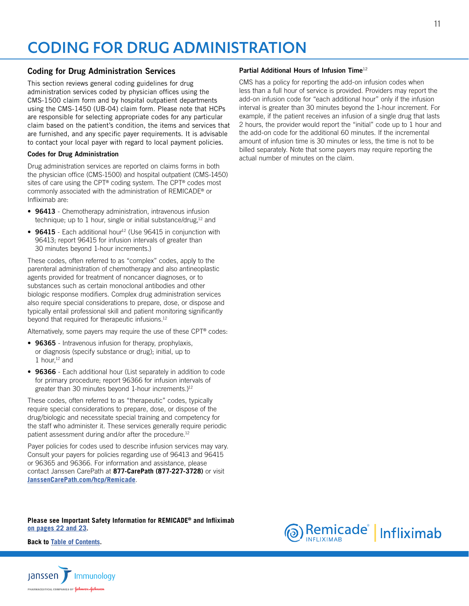## <span id="page-10-0"></span>CODING FOR DRUG ADMINISTRATION

### Coding for Drug Administration Services

This section reviews general coding guidelines for drug administration services coded by physician offices using the CMS-1500 claim form and by hospital outpatient departments using the CMS-1450 (UB-04) claim form. Please note that HCPs are responsible for selecting appropriate codes for any particular claim based on the patient's condition, the items and services that are furnished, and any specific payer requirements. It is advisable to contact your local payer with regard to local payment policies.

#### Codes for Drug Administration

Drug administration services are reported on claims forms in both the physician office (CMS-1500) and hospital outpatient (CMS-1450) sites of care using the CPT® coding system. The CPT® codes most commonly associated with the administration of REMICADE® or Infliximab are:

- 96413 Chemotherapy administration, intravenous infusion technique; up to 1 hour, single or initial substance/drug,<sup>12</sup> and
- 96415 Each additional hour<sup>12</sup> (Use 96415 in conjunction with 96413; report 96415 for infusion intervals of greater than 30 minutes beyond 1-hour increments.)

These codes, often referred to as "complex" codes, apply to the parenteral administration of chemotherapy and also antineoplastic agents provided for treatment of noncancer diagnoses, or to substances such as certain monoclonal antibodies and other biologic response modifiers. Complex drug administration services also require special considerations to prepare, dose, or dispose and typically entail professional skill and patient monitoring significantly beyond that required for therapeutic infusions.<sup>12</sup>

Alternatively, some payers may require the use of these CPT® codes:

- 96365 Intravenous infusion for therapy, prophylaxis, or diagnosis (specify substance or drug); initial, up to 1 hour, $12$  and
- 96366 Each additional hour (List separately in addition to code for primary procedure; report 96366 for infusion intervals of greater than 30 minutes beyond 1-hour increments.)<sup>12</sup>

These codes, often referred to as "therapeutic" codes, typically require special considerations to prepare, dose, or dispose of the drug/biologic and necessitate special training and competency for the staff who administer it. These services generally require periodic patient assessment during and/or after the procedure.<sup>12</sup>

Payer policies for codes used to describe infusion services may vary. Consult your payers for policies regarding use of 96413 and 96415 or 96365 and 96366. For information and assistance, please contact Janssen CarePath at **877-CarePath (877-227-3728)** or visit **[JanssenCarePath.com/hcp/Remicade](https://www.JanssenCarePath.com/hcp/remicade)**.

**[Please see Important Safety Information for REMICADE® and Infliximab](#page-21-0) [on pages 22 and 2](#page-21-0)3.**

**Back to [Table of Contents.](#page-2-0)**



#### Partial Additional Hours of Infusion Time<sup>12</sup>

CMS has a policy for reporting the add-on infusion codes when less than a full hour of service is provided. Providers may report the add-on infusion code for "each additional hour" only if the infusion interval is greater than 30 minutes beyond the 1-hour increment. For example, if the patient receives an infusion of a single drug that lasts 2 hours, the provider would report the "initial" code up to 1 hour and the add-on code for the additional 60 minutes. If the incremental amount of infusion time is 30 minutes or less, the time is not to be billed separately. Note that some payers may require reporting the actual number of minutes on the claim.

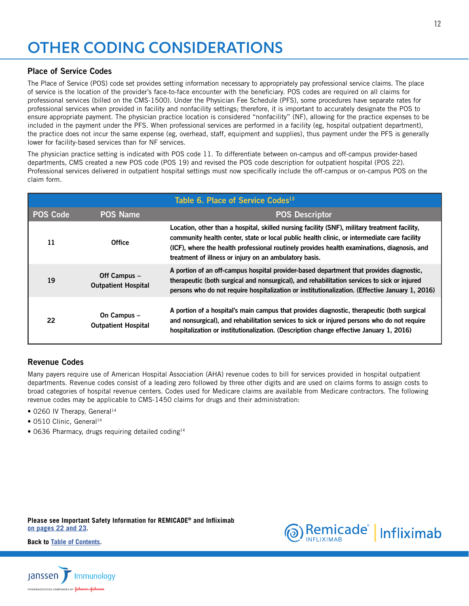# <span id="page-11-0"></span>OTHER CODING CONSIDERATIONS

## Place of Service Codes

The Place of Service (POS) code set provides setting information necessary to appropriately pay professional service claims. The place of service is the location of the provider's face-to-face encounter with the beneficiary. POS codes are required on all claims for professional services (billed on the CMS-1500). Under the Physician Fee Schedule (PFS), some procedures have separate rates for professional services when provided in facility and nonfacility settings; therefore, it is important to accurately designate the POS to ensure appropriate payment. The physician practice location is considered "nonfacility" (NF), allowing for the practice expenses to be included in the payment under the PFS. When professional services are performed in a facility (eg, hospital outpatient department), the practice does not incur the same expense (eg, overhead, staff, equipment and supplies), thus payment under the PFS is generally lower for facility-based services than for NF services.

The physician practice setting is indicated with POS code 11. To differentiate between on-campus and off-campus provider-based departments, CMS created a new POS code (POS 19) and revised the POS code description for outpatient hospital (POS 22). Professional services delivered in outpatient hospital settings must now specifically include the off-campus or on-campus POS on the claim form.

|                 |                                            | Table 6. Place of Service Codes <sup>13</sup>                                                                                                                                                                                                                                                                                                         |
|-----------------|--------------------------------------------|-------------------------------------------------------------------------------------------------------------------------------------------------------------------------------------------------------------------------------------------------------------------------------------------------------------------------------------------------------|
| <b>POS Code</b> | <b>POS Name</b>                            | <b>POS Descriptor</b>                                                                                                                                                                                                                                                                                                                                 |
| 11              | <b>Office</b>                              | Location, other than a hospital, skilled nursing facility (SNF), military treatment facility,<br>community health center, state or local public health clinic, or intermediate care facility<br>(ICF), where the health professional routinely provides health examinations, diagnosis, and<br>treatment of illness or injury on an ambulatory basis. |
| 19              | Off Campus -<br><b>Outpatient Hospital</b> | A portion of an off-campus hospital provider-based department that provides diagnostic,<br>therapeutic (both surgical and nonsurgical), and rehabilitation services to sick or injured<br>persons who do not require hospitalization or institutionalization. (Effective January 1, 2016)                                                             |
| 22              | On Campus -<br><b>Outpatient Hospital</b>  | A portion of a hospital's main campus that provides diagnostic, therapeutic (both surgical<br>and nonsurgical), and rehabilitation services to sick or injured persons who do not require<br>hospitalization or institutionalization. (Description change effective January 1, 2016)                                                                  |

## Revenue Codes

Many payers require use of American Hospital Association (AHA) revenue codes to bill for services provided in hospital outpatient departments. Revenue codes consist of a leading zero followed by three other digits and are used on claims forms to assign costs to broad categories of hospital revenue centers. Codes used for Medicare claims are available from Medicare contractors. The following revenue codes may be applicable to CMS-1450 claims for drugs and their administration:

- 0260 IV Therapy, General<sup>14</sup>
- 0510 Clinic, General<sup>14</sup>
- 0636 Pharmacy, drugs requiring detailed coding<sup>14</sup>

**[Please see Important Safety Information for REMICADE® and Infliximab](#page-21-0) [on pages 22 and 2](#page-21-0)3.**



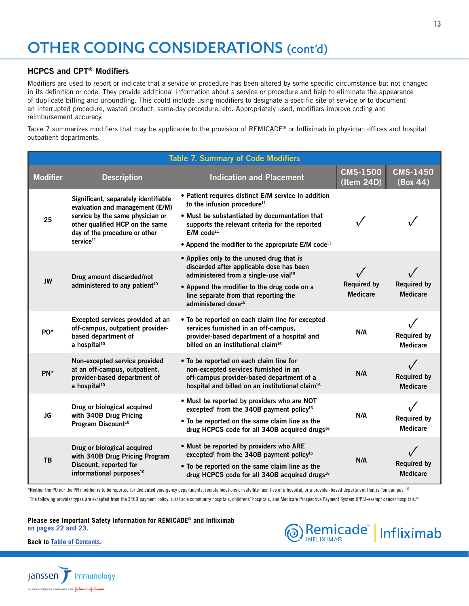## <span id="page-12-0"></span>OTHER CODING CONSIDERATIONS (cont'd)

### HCPCS and CPT® Modifiers

Modifiers are used to report or indicate that a service or procedure has been altered by some specific circumstance but not changed in its definition or code. They provide additional information about a service or procedure and help to eliminate the appearance of duplicate billing and unbundling. This could include using modifiers to designate a specific site of service or to document an interrupted procedure, wasted product, same-day procedure, etc. Appropriately used, modifiers improve coding and reimbursement accuracy.

Table 7 summarizes modifiers that may be applicable to the provision of REMICADE® or Infliximab in physician offices and hospital outpatient departments.

|                 |                                                                                                                                                                                                          | <b>Table 7. Summary of Code Modifiers</b>                                                                                                                                                                                                                                                         |                                       |                                       |
|-----------------|----------------------------------------------------------------------------------------------------------------------------------------------------------------------------------------------------------|---------------------------------------------------------------------------------------------------------------------------------------------------------------------------------------------------------------------------------------------------------------------------------------------------|---------------------------------------|---------------------------------------|
| <b>Modifier</b> | <b>Description</b>                                                                                                                                                                                       | <b>Indication and Placement</b>                                                                                                                                                                                                                                                                   | <b>CMS-1500</b><br>(Item 24D)         | <b>CMS-1450</b><br>(Box 44)           |
| 25              | Significant, separately identifiable<br>evaluation and management (E/M)<br>service by the same physician or<br>other qualified HCP on the same<br>day of the procedure or other<br>service <sup>11</sup> | • Patient requires distinct E/M service in addition<br>to the infusion procedure <sup>11</sup><br>. Must be substantiated by documentation that<br>supports the relevant criteria for the reported<br>$E/M$ code <sup>11</sup><br>• Append the modifier to the appropriate E/M code <sup>11</sup> | $\checkmark$                          |                                       |
| <b>JW</b>       | Drug amount discarded/not<br>administered to any patient <sup>10</sup>                                                                                                                                   | • Applies only to the unused drug that is<br>discarded after applicable dose has been<br>administered from a single-use vial <sup>15</sup><br>• Append the modifier to the drug code on a<br>line separate from that reporting the<br>administered dose <sup>15</sup>                             | <b>Required by</b><br><b>Medicare</b> | <b>Required by</b><br><b>Medicare</b> |
| PO <sup>*</sup> | Excepted services provided at an<br>off-campus, outpatient provider-<br>based department of<br>a hospital <sup>10</sup>                                                                                  | • To be reported on each claim line for excepted<br>services furnished in an off-campus,<br>provider-based department of a hospital and<br>billed on an institutional claim <sup>16</sup>                                                                                                         | N/A                                   | <b>Required by</b><br><b>Medicare</b> |
| $PN^*$          | Non-excepted service provided<br>at an off-campus, outpatient,<br>provider-based department of<br>a hospital <sup>10</sup>                                                                               | . To be reported on each claim line for<br>non-excepted services furnished in an<br>off-campus provider-based department of a<br>hospital and billed on an institutional claim <sup>16</sup>                                                                                                      | N/A                                   | <b>Required by</b><br><b>Medicare</b> |
| <b>JG</b>       | Drug or biological acquired<br>with 340B Drug Pricing<br>Program Discount <sup>10</sup>                                                                                                                  | . Must be reported by providers who are NOT<br>excepted <sup>†</sup> from the 340B payment policy <sup>16</sup><br>• To be reported on the same claim line as the<br>drug HCPCS code for all 340B acquired drugs <sup>16</sup>                                                                    |                                       | <b>Required by</b><br><b>Medicare</b> |
| <b>TB</b>       | Drug or biological acquired<br>with 340B Drug Pricing Program<br>Discount, reported for<br>informational purposes <sup>10</sup>                                                                          | . Must be reported by providers who ARE<br>excepted <sup>†</sup> from the 340B payment policy <sup>16</sup><br>• To be reported on the same claim line as the<br>drug HCPCS code for all 340B acquired drugs <sup>16</sup>                                                                        | N/A                                   | <b>Required by</b><br><b>Medicare</b> |

\*Neither the PO nor the PN modifier is to be reported for dedicated emergency departments, remote locations or satellite facilities of a hospital, or a provider-based department that is "on campus."<sup>16</sup>

<sup>†</sup>The following provider types are excepted from the 340B payment policy: rural sole community hospitals, childrens' hospitals, and Medicare Prospective Payment System (PPS)-exempt cancer hospitals.<sup>16</sup>

#### **[Please see Important Safety Information for REMICADE® and Infliximab](#page-21-0) [on pages 22 and 2](#page-21-0)3.**



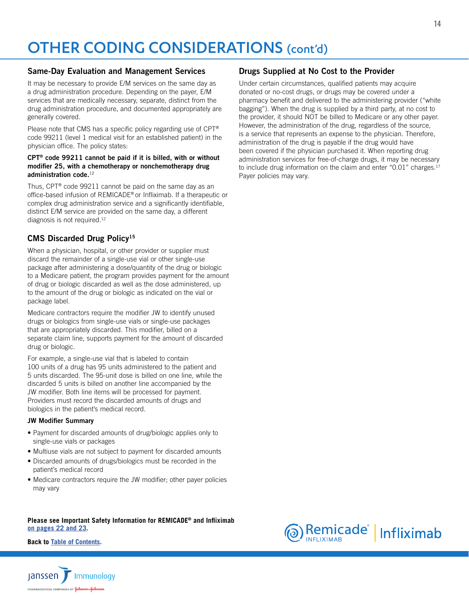# <span id="page-13-0"></span>OTHER CODING CONSIDERATIONS (cont'd)

### Same-Day Evaluation and Management Services

It may be necessary to provide E/M services on the same day as a drug administration procedure. Depending on the payer, E/M services that are medically necessary, separate, distinct from the drug administration procedure, and documented appropriately are generally covered.

Please note that CMS has a specific policy regarding use of CPT® code 99211 (level 1 medical visit for an established patient) in the physician office. The policy states:

#### CPT® code 99211 cannot be paid if it is billed, with or without modifier 25, with a chemotherapy or nonchemotherapy drug administration code.<sup>12</sup>

Thus, CPT® code 99211 cannot be paid on the same day as an office-based infusion of REMICADE® or Infliximab. If a therapeutic or complex drug administration service and a significantly identifiable, distinct E/M service are provided on the same day, a different diagnosis is not required.12

## CMS Discarded Drug Policy<sup>15</sup>

When a physician, hospital, or other provider or supplier must discard the remainder of a single-use vial or other single-use package after administering a dose/quantity of the drug or biologic to a Medicare patient, the program provides payment for the amount of drug or biologic discarded as well as the dose administered, up to the amount of the drug or biologic as indicated on the vial or package label.

Medicare contractors require the modifier JW to identify unused drugs or biologics from single-use vials or single-use packages that are appropriately discarded. This modifier, billed on a separate claim line, supports payment for the amount of discarded drug or biologic.

For example, a single-use vial that is labeled to contain 100 units of a drug has 95 units administered to the patient and 5 units discarded. The 95-unit dose is billed on one line, while the discarded 5 units is billed on another line accompanied by the JW modifier. Both line items will be processed for payment. Providers must record the discarded amounts of drugs and biologics in the patient's medical record.

#### JW Modifier Summary

- Payment for discarded amounts of drug/biologic applies only to single-use vials or packages
- Multiuse vials are not subject to payment for discarded amounts
- Discarded amounts of drugs/biologics must be recorded in the patient's medical record
- Medicare contractors require the JW modifier; other payer policies may vary

#### **[Please see Important Safety Information for REMICADE® and Infliximab](#page-21-0) [on pages 22 and 2](#page-21-0)3.**

**Back to [Table of Contents.](#page-2-0)**



### Drugs Supplied at No Cost to the Provider

Under certain circumstances, qualified patients may acquire donated or no-cost drugs, or drugs may be covered under a pharmacy benefit and delivered to the administering provider ("white bagging"). When the drug is supplied by a third party, at no cost to the provider, it should NOT be billed to Medicare or any other payer. However, the administration of the drug, regardless of the source, is a service that represents an expense to the physician. Therefore, administration of the drug is payable if the drug would have been covered if the physician purchased it. When reporting drug administration services for free-of-charge drugs, it may be necessary to include drug information on the claim and enter " $0.01$ " charges.<sup>17</sup> Payer policies may vary.

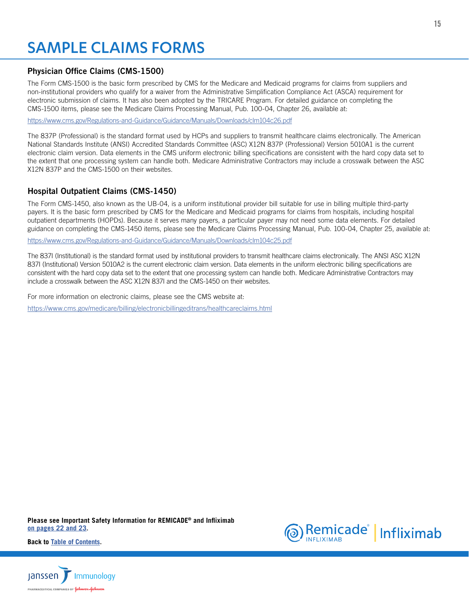## <span id="page-14-0"></span>SAMPLE CLAIMS FORMS

## Physician Office Claims (CMS-1500)

The Form CMS-1500 is the basic form prescribed by CMS for the Medicare and Medicaid programs for claims from suppliers and non-institutional providers who qualify for a waiver from the Administrative Simplification Compliance Act (ASCA) requirement for electronic submission of claims. It has also been adopted by the TRICARE Program. For detailed guidance on completing the CMS-1500 items, please see the Medicare Claims Processing Manual, Pub. 100-04, Chapter 26, available at:

<https://www.cms.gov/Regulations-and-Guidance/Guidance/Manuals/Downloads/clm104c26.pdf>

The 837P (Professional) is the standard format used by HCPs and suppliers to transmit healthcare claims electronically. The American National Standards Institute (ANSI) Accredited Standards Committee (ASC) X12N 837P (Professional) Version 5010A1 is the current electronic claim version. Data elements in the CMS uniform electronic billing specifications are consistent with the hard copy data set to the extent that one processing system can handle both. Medicare Administrative Contractors may include a crosswalk between the ASC X12N 837P and the CMS-1500 on their websites.

## Hospital Outpatient Claims (CMS-1450)

The Form CMS-1450, also known as the UB-04, is a uniform institutional provider bill suitable for use in billing multiple third-party payers. It is the basic form prescribed by CMS for the Medicare and Medicaid programs for claims from hospitals, including hospital outpatient departments (HOPDs). Because it serves many payers, a particular payer may not need some data elements. For detailed guidance on completing the CMS-1450 items, please see the Medicare Claims Processing Manual, Pub. 100-04, Chapter 25, available at:

<https://www.cms.gov/Regulations-and-Guidance/Guidance/Manuals/Downloads/clm104c25.pdf>

The 837I (Institutional) is the standard format used by institutional providers to transmit healthcare claims electronically. The ANSI ASC X12N 837I (Institutional) Version 5010A2 is the current electronic claim version. Data elements in the uniform electronic billing specifications are consistent with the hard copy data set to the extent that one processing system can handle both. Medicare Administrative Contractors may include a crosswalk between the ASC X12N 837I and the CMS-1450 on their websites.

For more information on electronic claims, please see the CMS website at:

<https://www.cms.gov/medicare/billing/electronicbillingeditrans/healthcareclaims.html>

**[Please see Important Safety Information for REMICADE® and Infliximab](#page-21-0) [on pages 22 and 2](#page-21-0)3.**



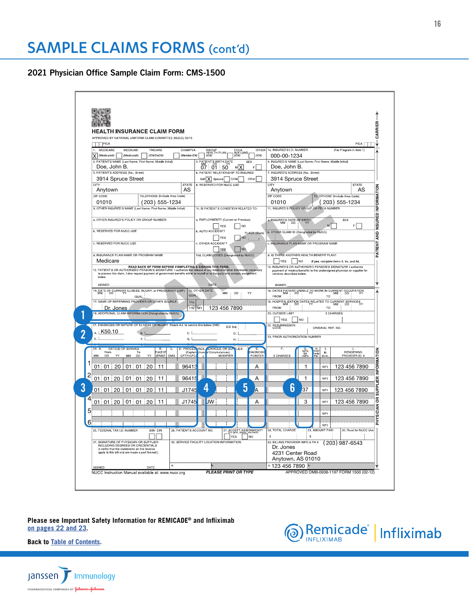<span id="page-15-0"></span>2021 Physician Office Sample Claim Form: CMS-1500

| PICA                                                                                                                                                                            |                                                                                                         | ROVED BY NATIONAL UNIFORM CLAIM COMMITTEE (NUCC) 02/12                                                                                                                                                                               |                                                                                                                                        |                                 |
|---------------------------------------------------------------------------------------------------------------------------------------------------------------------------------|---------------------------------------------------------------------------------------------------------|--------------------------------------------------------------------------------------------------------------------------------------------------------------------------------------------------------------------------------------|----------------------------------------------------------------------------------------------------------------------------------------|---------------------------------|
| MEDICARE<br>MEDICAID<br>1.                                                                                                                                                      | TRICARE<br>CHAMPVA                                                                                      |                                                                                                                                                                                                                                      | 1a. INSURED'S I.D. NUMBER<br>OTHER                                                                                                     | PICA<br>(For Program in Item 1) |
| $X$ (Medicare#)<br>(Medicaid#)                                                                                                                                                  | (1D# / DoD#)<br>(Member ID#)                                                                            | GROUP<br>HEALTH PLAN<br>  (ID#)<br>FECA<br>BLK LUNG<br>(ID#)                                                                                                                                                                         | (1D#)<br>000-00-1234                                                                                                                   |                                 |
| 2. PATIENT'S NAME (Last Name, First Name, Middle Initial)<br>Doe, John B.                                                                                                       |                                                                                                         | 3. PATIENT'S BIRTH DATE<br>SEX<br>07 01 50<br>м Х                                                                                                                                                                                    | 4. INSURED'S NAME (Last Name, First Name, Middle Initial)<br>Doe, John B.                                                              |                                 |
| 5. PATIENT'S ADDRESS (No., Street)                                                                                                                                              |                                                                                                         | 6. PATIENT RELATIONSHIP TO INSURED                                                                                                                                                                                                   | 7. INSURED'S ADDRESS (No., Street)                                                                                                     |                                 |
| 3914 Spruce Street<br>CITY                                                                                                                                                      | <b>STATE</b>                                                                                            | Self X Spouse<br>Child<br>Other<br>8. RESERVED FOR NUCC USE                                                                                                                                                                          | 3914 Spruce Street<br>CITY                                                                                                             | <b>STATE</b>                    |
| Anytown                                                                                                                                                                         | AS                                                                                                      |                                                                                                                                                                                                                                      | Anytown                                                                                                                                | AS                              |
| ZIP CODE<br>01010                                                                                                                                                               | TELEPHONE (Include Area Code)                                                                           |                                                                                                                                                                                                                                      | ZIP CODE<br>TELEPHONE (Include Area Code)<br>01010                                                                                     |                                 |
|                                                                                                                                                                                 | (203) 555-1234<br>9. OTHER INSURED'S NAME (Last Name, First Name, Middle Initial)                       | 10. IS PATIENT'S CONDITION RELATED TO:                                                                                                                                                                                               | (203) 555-1234<br>11. INSURED'S POLICY GROUP OR FECA NUMBER                                                                            |                                 |
| a. OTHER INSURED'S POLICY OR GROUP NUMBER                                                                                                                                       |                                                                                                         | a. EMPLOYMENT? (Current or Previous)                                                                                                                                                                                                 |                                                                                                                                        | SEX                             |
|                                                                                                                                                                                 |                                                                                                         | <b>YES</b><br><b>NO</b>                                                                                                                                                                                                              | a. INSURED'S DATE OF BIRTH                                                                                                             | FL.                             |
| <b>b. RESERVED FOR NUCC USE</b>                                                                                                                                                 |                                                                                                         | b. AUTO ACCIDENT?<br><b>NO</b><br>YES                                                                                                                                                                                                | b. OTHER CLAIM ID (Designated by NUCC)<br>PLACE (State)                                                                                |                                 |
| c. RESERVED FOR NUCC USE                                                                                                                                                        |                                                                                                         | c. OTHER ACCIDENT                                                                                                                                                                                                                    | c. INSURANCE PLAN NAME OR PROGRAM NAME                                                                                                 |                                 |
| d. INSURANCE PLAN NAME OR PROGRAM NAME                                                                                                                                          |                                                                                                         | <b>NO</b><br>YES                                                                                                                                                                                                                     |                                                                                                                                        |                                 |
| Medicare                                                                                                                                                                        |                                                                                                         | 10d, CLAIM CODES (Designated by NUCC)                                                                                                                                                                                                | d. IS THERE ANOTHER HEALTH BENEFIT PLAN?<br><b>YES</b><br> NO<br>If yes, complete items 9, 9a, and 9d.                                 |                                 |
|                                                                                                                                                                                 |                                                                                                         | 12. PATIENT'S OR AUTHOR ACK OF FORM BEFORE COMPLETING & SIGNING THIS FORM.<br>12. PATIENT'S OR AUTHOPIZED PERSON'S SIGNATIVEE I authorize the riseases of any medical or other information necessary<br>to process this claim. I als | 13. INSURED'S OR AUTHORIZED PERSON'S SIGNATURE I authorize<br>payment of medical benefits to the undersigned physician or supplier for |                                 |
|                                                                                                                                                                                 |                                                                                                         |                                                                                                                                                                                                                                      | services described below.                                                                                                              |                                 |
| SIGNED                                                                                                                                                                          |                                                                                                         | DATE                                                                                                                                                                                                                                 | SIGNED                                                                                                                                 |                                 |
|                                                                                                                                                                                 | 14. DATE OF CURRENT ILLNESS, INJURY, or PREGNANCY (LMP)<br>MM   DD   YY<br>QUAL                         | 15. OTHER DATE<br>YY<br>MM<br>DD<br>QUAL                                                                                                                                                                                             | 16. DATES PATIENT UNABLE TO WORK IN CURRENT OCCUPATION<br><b>FROM</b><br><b>TO</b>                                                     |                                 |
| 17. NAME OF REFERRING PROVIDER OR OTHER SOURCE                                                                                                                                  |                                                                                                         | 17a.                                                                                                                                                                                                                                 | 18. HOSPITALIZATION DATES RELATED TO CURRENT SERVICES MM                                                                               |                                 |
| Dr. Jones<br>19. ADDITIONAL CLAIM INFORMATION (Designated by NUCC)                                                                                                              |                                                                                                         | 123 456 7890<br>17b. NPI                                                                                                                                                                                                             | <b>FROM</b><br><b>TO</b><br>20. OUTSIDE LAB?<br>\$ CHARGES                                                                             |                                 |
|                                                                                                                                                                                 |                                                                                                         |                                                                                                                                                                                                                                      | <b>YES</b><br><b>NO</b>                                                                                                                |                                 |
| A. LK50.10                                                                                                                                                                      | 21. DIAGNOSIS OR NATURE OF ILLNESS OR INJURY Relate A-L to service line below (24E)<br><b>B.</b><br>c.l | ICD Ind.                                                                                                                                                                                                                             | 22. RESUBMISSION<br>ORIGINAL REF. NO.                                                                                                  |                                 |
|                                                                                                                                                                                 |                                                                                                         | D.<br>н. І                                                                                                                                                                                                                           | 23. PRIOR AUTHORIZATION NUMBER                                                                                                         |                                 |
| E.I                                                                                                                                                                             | G.                                                                                                      |                                                                                                                                                                                                                                      |                                                                                                                                        |                                 |
|                                                                                                                                                                                 | $\overline{\mathbf{B}}$<br><b>D. PROCED</b><br>$\overline{c}$                                           | <b>IRES</b><br><b>ERVICES ORISUE</b><br><b>PLIES</b>                                                                                                                                                                                 | F.<br>Ш.                                                                                                                               |                                 |
| DATE(S) OF SERVICE<br>From<br>DD<br>YY<br>MM<br>MM                                                                                                                              | PLACE OF<br>To<br>(Explain<br><b>DD</b><br>CPT/HCPC<br>YY<br>SERVICE<br><b>EMG</b>                      | Jnus<br>  Circumstances<br><b>MODIFIER</b>                                                                                                                                                                                           | р<br>PSD<br>Plan<br>Plan<br>DAYS<br>OR<br>UNITS<br><b>DIAGNOSI</b><br>ID.<br>POINTER<br>\$ CHARGES<br>QUAI                             | RENDERING<br>PROVIDER ID. #     |
| 1                                                                                                                                                                               |                                                                                                         |                                                                                                                                                                                                                                      | 1<br><b>NPI</b>                                                                                                                        |                                 |
| 01 01 20<br>$01$ 01                                                                                                                                                             | 20<br>11<br>96413                                                                                       |                                                                                                                                                                                                                                      | Α                                                                                                                                      | 123 456 7890                    |
| 2<br>01   01   20   01   01                                                                                                                                                     | 11<br>96415<br>20                                                                                       |                                                                                                                                                                                                                                      | 1<br>Α<br><b>NPI</b>                                                                                                                   | 123 456 7890                    |
| $01 \mid 01 \mid 20 \mid 01 \mid 01 \mid 20$                                                                                                                                    | J1745<br>11                                                                                             | 5<br>4                                                                                                                                                                                                                               | 6<br>37<br>A<br><b>NPI</b>                                                                                                             | 123 456 7890                    |
| 4                                                                                                                                                                               |                                                                                                         |                                                                                                                                                                                                                                      | <b>NPI</b>                                                                                                                             |                                 |
| $01 \mid 01 \mid 20 \mid 01 \mid 01 \mid 20$                                                                                                                                    | 11<br>J1745                                                                                             | <b>JW</b>                                                                                                                                                                                                                            | 3<br>Α                                                                                                                                 | 123 456 7890                    |
| 5                                                                                                                                                                               |                                                                                                         |                                                                                                                                                                                                                                      | <b>NPI</b>                                                                                                                             |                                 |
| 6                                                                                                                                                                               |                                                                                                         |                                                                                                                                                                                                                                      | <b>NPI</b>                                                                                                                             |                                 |
| 25. FEDERAL TAX I.D. NUMBER                                                                                                                                                     | SSN EIN                                                                                                 | 26. PATIENT'S ACCOUNT NO.<br>27. ACCEPT ASSIGNMENT?                                                                                                                                                                                  | 28. TOTAL CHARGE<br>29. AMOUNT PAID<br>\$<br>\$                                                                                        | 30. Rsvd for NUCC Use           |
|                                                                                                                                                                                 |                                                                                                         | YES<br>NO<br>32. SERVICE FACILITY LOCATION INFORMATION                                                                                                                                                                               | 33. BILLING PROVIDER INFO & PH # (203) 987-6543                                                                                        |                                 |
| 31. SIGNATURE OF PHYSICIAN OR SUPPLIER<br>INCLUDING DEGREES OR CREDENTIALS<br>(I certify that the statements on the reverse<br>apply to this bill and are made a part thereof.) |                                                                                                         |                                                                                                                                                                                                                                      | Dr. Jones<br>4231 Center Road                                                                                                          |                                 |

**[Please see Important Safety Information for REMICADE® and Infliximab](#page-21-0) [on pages 22 and 2](#page-21-0)3.**



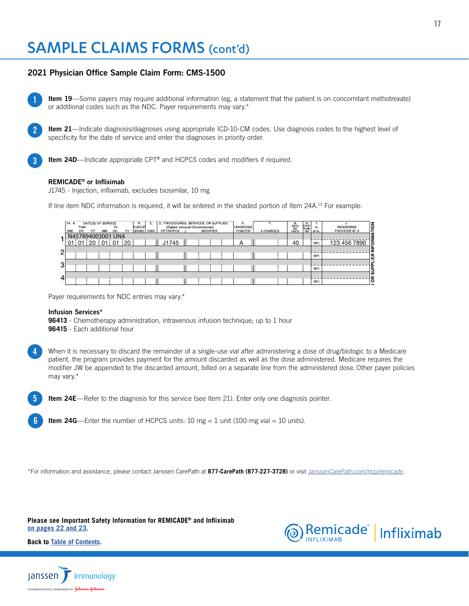### 2021 Physician Office Sample Claim Form: CMS-1500

Item 19—Some payers may require additional information (eg, a statement that the patient is on concomitant methotrexate) or additional codes such as the NDC. Payer requirements may vary.\*

Item 21—Indicate diagnosis/diagnoses using appropriate ICD-10-CM codes. Use diagnosis codes to the highest level of specificity for the date of service and enter the diagnoses in priority order.

Item 24D—Indicate appropriate CPT® and HCPCS codes and modifiers if required.

## REMICADE<sup>®</sup> or Infliximab

1

2

3

4

5

6

J1745 - Injection, infliximab, excludes biosimilar, 10 mg

If line item NDC information is required, it will be entered in the shaded portion of Item 24A.<sup>13</sup> For example:

|                | 24. A.<br>MM | From<br><b>DD</b> | YY   | DATE(S) OF SERVICE<br>MM | To<br><b>DD</b> | YY | в.<br><b>PLACE OF</b><br><b>SERVICE</b> | C.<br><b>EMG</b> | D. PROCEDURES, SERVICES, OR SUPPLIES<br>(Explain Unusual Circumstances)<br>CPT/HCPCS |  | <b>MODIFIER</b> | Ε.<br><b>DIAGNOSIS</b><br>POINTER | Е.<br><b>S CHARGES</b> | G.<br>DAYS<br>OR<br><b>UNITS</b> | H<br>EPSDT<br>Famiy<br>Plan | ID.<br>QUAL. | TON<br>J.<br><b>RENDERING</b><br>PROVIDER ID. # |
|----------------|--------------|-------------------|------|--------------------------|-----------------|----|-----------------------------------------|------------------|--------------------------------------------------------------------------------------|--|-----------------|-----------------------------------|------------------------|----------------------------------|-----------------------------|--------------|-------------------------------------------------|
|                |              | N457894003001 UN4 |      |                          |                 |    |                                         |                  |                                                                                      |  |                 |                                   |                        |                                  |                             |              |                                                 |
|                | 01           | 01                | i 20 | 01                       | 01              | 20 |                                         |                  | $ $ J1745                                                                            |  |                 | А                                 |                        | 40                               |                             | <b>NPI</b>   | ∏<br>प<br>123 456 7890                          |
| $\overline{2}$ |              |                   |      |                          |                 |    |                                         |                  |                                                                                      |  |                 |                                   |                        |                                  |                             |              |                                                 |
|                |              |                   |      |                          |                 |    |                                         |                  |                                                                                      |  |                 |                                   |                        |                                  |                             | <b>NPI</b>   | E                                               |
| 31             |              |                   |      |                          |                 |    |                                         |                  |                                                                                      |  |                 |                                   |                        |                                  |                             |              |                                                 |
|                |              |                   |      |                          |                 |    |                                         |                  |                                                                                      |  |                 |                                   |                        |                                  |                             | <b>NPI</b>   | $\frac{1}{5}$                                   |
| 4 <sup>r</sup> |              |                   |      |                          |                 |    |                                         |                  |                                                                                      |  |                 |                                   |                        |                                  |                             |              | œ                                               |
|                |              |                   |      |                          |                 |    |                                         |                  |                                                                                      |  |                 |                                   |                        |                                  |                             | <b>NPI</b>   | ō                                               |

Payer requirements for NDC entries may vary.\*

#### Infusion Services\*

**96413** - Chemotherapy administration, intravenous infusion technique; up to 1 hour **96415** - Each additional hour

When it is necessary to discard the remainder of a single-use vial after administering a dose of drug/biologic to a Medicare patient, the program provides payment for the amount discarded as well as the dose administered. Medicare requires the modifier JW be appended to the discarded amount, billed on a separate line from the administered dose. Other payer policies may vary.\*

Item 24E—Refer to the diagnosis for this service (see Item 21). Enter only one diagnosis pointer.

**Item 24G**—Enter the number of HCPCS units: 10 mg = 1 unit (100-mg vial = 10 units).

\*For information and assistance, please contact Janssen CarePath at **877-CarePath (877-227-3728)** or visit [JanssenCarePath.com/hcp/remicade](https://www.JanssenCarePath.com/hcp/remicade).

**[Please see Important Safety Information for REMICADE® and Infliximab](#page-21-0) [on pages 22 and 2](#page-21-0)3.**



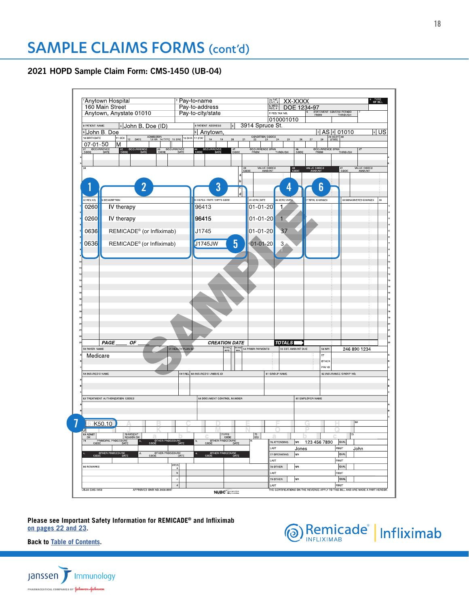## <span id="page-17-0"></span>2021 HOPD Sample Claim Form: CMS-1450 (UB-04)



**[Please see Important Safety Information for REMICADE® and Infliximab](#page-21-0) [on pages 22 and 2](#page-21-0)3.**



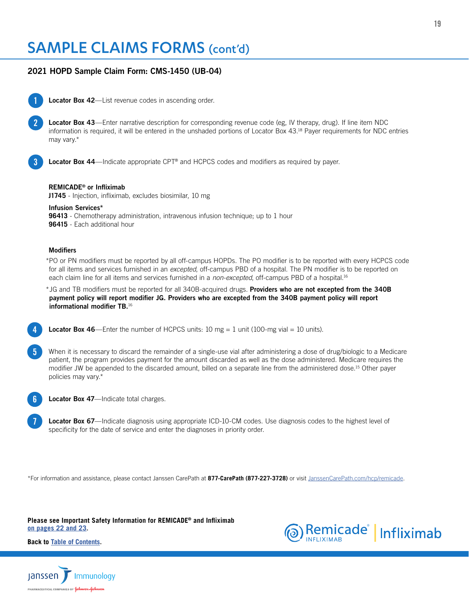## 2021 HOPD Sample Claim Form: CMS-1450 (UB-04)



2

Locator Box 42-List revenue codes in ascending order.

Locator Box 43—Enter narrative description for corresponding revenue code (eg, IV therapy, drug). If line item NDC information is required, it will be entered in the unshaded portions of Locator Box 43.18 Payer requirements for NDC entries may vary.\*

3

4

Locator Box 44—Indicate appropriate CPT® and HCPCS codes and modifiers as required by payer.

#### REMICADE® or Infliximab

**J1745** - Injection, infliximab, excludes biosimilar, 10 mg

Infusion Services\*

**96413** - Chemotherapy administration, intravenous infusion technique; up to 1 hour **96415** - Each additional hour

#### **Modifiers**

\*PO or PN modifiers must be reported by all off-campus HOPDs. The PO modifier is to be reported with every HCPCS code for all items and services furnished in an *excepted*, off-campus PBD of a hospital. The PN modifier is to be reported on each claim line for all items and services furnished in a *non-excepted*, off-campus PBD of a hospital.16

\*JG and TB modifiers must be reported for all 340B-acquired drugs. Providers who are not excepted from the 340B payment policy will report modifier JG. Providers who are excepted from the 340B payment policy will report informational modifier TB.16

**Locator Box 46**—Enter the number of HCPCS units:  $10 \text{ mg} = 1$  unit ( $100 \text{-mg}$  vial =  $10 \text{ units}$ ).

When it is necessary to discard the remainder of a single-use vial after administering a dose of drug/biologic to a Medicare patient, the program provides payment for the amount discarded as well as the dose administered. Medicare requires the modifier JW be appended to the discarded amount, billed on a separate line from the administered dose.15 Other payer policies may vary.\* 5

- Locator Box 47-Indicate total charges. 6
- Locator Box 67—Indicate diagnosis using appropriate ICD-10-CM codes. Use diagnosis codes to the highest level of specificity for the date of service and enter the diagnoses in priority order. 7

\*For information and assistance, please contact Janssen CarePath at **877-CarePath (877-227-3728)** or visit [JanssenCarePath.com/hcp/remicade](https://www.JanssenCarePath.com/hcp/remicade).

**[Please see Important Safety Information for REMICADE® and Infliximab](#page-21-0) [on pages 22 and 2](#page-21-0)3.**



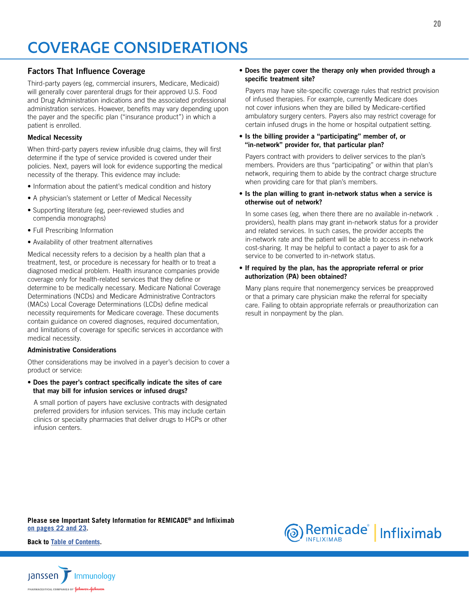# <span id="page-19-0"></span>COVERAGE CONSIDERATIONS

### Factors That Influence Coverage

Third-party payers (eg, commercial insurers, Medicare, Medicaid) will generally cover parenteral drugs for their approved U.S. Food and Drug Administration indications and the associated professional administration services. However, benefits may vary depending upon the payer and the specific plan ("insurance product") in which a patient is enrolled.

### Medical Necessity

When third-party payers review infusible drug claims, they will first determine if the type of service provided is covered under their policies. Next, payers will look for evidence supporting the medical necessity of the therapy. This evidence may include:

- Information about the patient's medical condition and history
- A physician's statement or Letter of Medical Necessity
- Supporting literature (eg, peer-reviewed studies and compendia monographs)
- Full Prescribing Information
- Availability of other treatment alternatives

Medical necessity refers to a decision by a health plan that a treatment, test, or procedure is necessary for health or to treat a diagnosed medical problem. Health insurance companies provide coverage only for health-related services that they define or determine to be medically necessary. Medicare National Coverage Determinations (NCDs) and Medicare Administrative Contractors (MACs) Local Coverage Determinations (LCDs) define medical necessity requirements for Medicare coverage. These documents contain guidance on covered diagnoses, required documentation, and limitations of coverage for specific services in accordance with medical necessity.

### Administrative Considerations

Other considerations may be involved in a payer's decision to cover a product or service:

• Does the payer's contract specifically indicate the sites of care that may bill for infusion services or infused drugs?

A small portion of payers have exclusive contracts with designated preferred providers for infusion services. This may include certain clinics or specialty pharmacies that deliver drugs to HCPs or other infusion centers.

#### • Does the payer cover the therapy only when provided through a specific treatment site?

Payers may have site-specific coverage rules that restrict provision of infused therapies. For example, currently Medicare does not cover infusions when they are billed by Medicare-certified ambulatory surgery centers. Payers also may restrict coverage for certain infused drugs in the home or hospital outpatient setting.

#### • Is the billing provider a "participating" member of, or "in-network" provider for, that particular plan?

Payers contract with providers to deliver services to the plan's members. Providers are thus "participating" or within that plan's network, requiring them to abide by the contract charge structure when providing care for that plan's members.

• Is the plan willing to grant in-network status when a service is otherwise out of network?

In some cases (eg, when there there are no available in-network . providers), health plans may grant in-network status for a provider and related services. In such cases, the provider accepts the in-network rate and the patient will be able to access in-network cost-sharing. It may be helpful to contact a payer to ask for a service to be converted to in-network status.

#### • If required by the plan, has the appropriate referral or prior authorization (PA) been obtained?

Many plans require that nonemergency services be preapproved or that a primary care physician make the referral for specialty care. Failing to obtain appropriate referrals or preauthorization can result in nonpayment by the plan.

**[Please see Important Safety Information for REMICADE® and Infliximab](#page-21-0) [on pages 22 and 2](#page-21-0)3.**



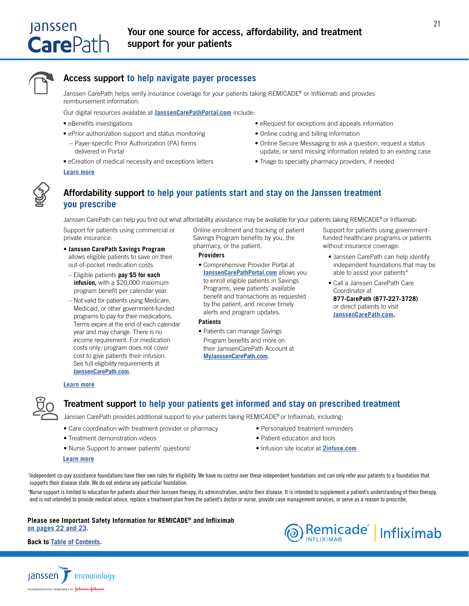<span id="page-20-0"></span>

## Access support **to help navigate payer processes**

Janssen CarePath helps verify insurance coverage for your patients taking REMICADE® or Infliximab and provides reimbursement information.

Our digital resources available at **[JanssenCarePathPortal.com](www.JanssenCarePathPortal.com)** include:

- eBenefits investigations
- ePrior authorization support and status monitoring
- Payer-specific Prior Authorization (PA) forms delivered in Portal
- eCreation of medical necessity and exceptions letters

#### **[Learn more](https://www.janssencarepath.com/hcp/remicade/insurance-coverage)**

- eRequest for exceptions and appeals information
- Online coding and billing information
- Online Secure Messaging to ask a question, request a status update, or send missing information related to an existing case
- Triage to specialty pharmacy providers, if needed

## Affordability support **to help your patients start and stay on the Janssen treatment you prescribe**

Janssen CarePath can help you find out what affordability assistance may be available for your patients taking REMICADE® or Infliximab:

Support for patients using commercial or private insurance:

- **Janssen CarePath Savings Program** allows eligible patients to save on their out-of-pocket medication costs.
- Eligible patients **pay \$5 for each infusion,** with a \$20,000 maximum program benefit per calendar year.
- Not valid for patients using Medicare, Medicaid, or other government-funded programs to pay for their medications. Terms expire at the end of each calendar year and may change. There is no income requirement. For medication costs only; program does not cover cost to give patients their infusion. See full eligibility requirements at **[JanssenCarePath.com](http://JanssenCarePath.com)**.

Online enrollment and tracking of patient Savings Program benefits by you, the pharmacy, or the patient.

#### **Providers**

• Comprehensive Provider Portal at **[JanssenCarePathPortal.com](www.JanssenCarePathPortal.com)** allows you to enroll eligible patients in Savings Programs, view patients' available benefit and transactions as requested by the patient, and receive timely alerts and program updates.

#### **Patients**

• Patients can manage Savings Program benefits and more on their JanssenCarePath Account at **[MyJanssenCarePath.com](https://www.janssencarepathportal.com/s/login/)**.

Support for patients using governmentfunded healthcare programs or patients without insurance coverage:

- Janssen CarePath can help identify independent foundations that may be able to assist your patients\*
- Call a Janssen CarePath Care Coordinator at **877-CarePath (877-227-3728)** or direct patients to visit **[JanssenCarePath.com.](http://JanssenCarePath.com)**

#### **[Learn more](https://www.janssencarepath.com/hcp/remicade/affordability)**



## Treatment support **to help your patients get informed and stay on prescribed treatment**

Janssen CarePath provides additional support to your patients taking REMICADE® or Infliximab, including:

- Care coordination with treatment provider or pharmacy
- Treatment demonstration videos
- Nurse Support to answer patients' questions†

## • Personalized treatment reminders

- Patient education and tools
- Infusion site locator at **[2infuse.com](https://www.2infuse.com)**

#### **[Learn more](https://www.janssencarepath.com/hcp/remicade/support)**

\* Independent co-pay assistance foundations have their own rules for eligibility. We have no control over these independent foundations and can only refer your patients to a foundation that supports their disease state. We do not endorse any particular foundation.

† Nurse support is limited to education for patients about their Janssen therapy, its administration, and/or their disease. It is intended to supplement a patient's understanding of their therapy, and is not intended to provide medical advice, replace a treatment plan from the patient's doctor or nurse, provide case management services, or serve as a reason to prescribe.

#### **[Please see Important Safety Information for REMICADE® and Infliximab](#page-21-0) [on pages 22 and 2](#page-21-0)3.**



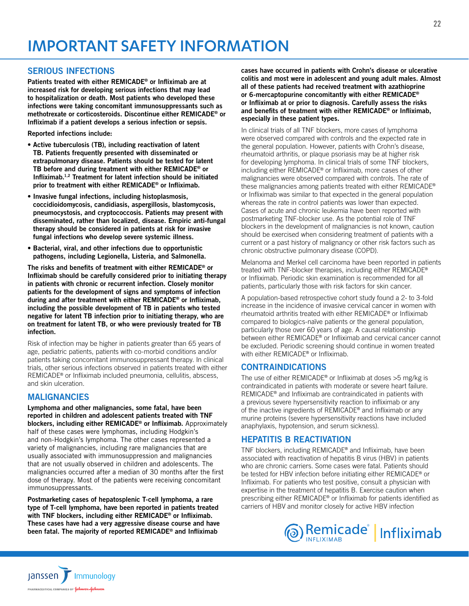## <span id="page-21-0"></span>SERIOUS INFECTIONS

Patients treated with either REMICADE® or Infliximab are at increased risk for developing serious infections that may lead to hospitalization or death. Most patients who developed these infections were taking concomitant immunosuppressants such as methotrexate or corticosteroids. Discontinue either REMICADE® or Infliximab if a patient develops a serious infection or sepsis.

Reported infections include:

- Active tuberculosis (TB), including reactivation of latent TB. Patients frequently presented with disseminated or extrapulmonary disease. Patients should be tested for latent TB before and during treatment with either REMICADE® or Infliximab.1,2 Treatment for latent infection should be initiated prior to treatment with either REMICADE® or Infliximab.
- Invasive fungal infections, including histoplasmosis, coccidioidomycosis, candidiasis, aspergillosis, blastomycosis, pneumocystosis, and cryptococcosis. Patients may present with disseminated, rather than localized, disease. Empiric anti-fungal therapy should be considered in patients at risk for invasive fungal infections who develop severe systemic illness.
- Bacterial, viral, and other infections due to opportunistic pathogens, including Legionella, Listeria, and Salmonella.

The risks and benefits of treatment with either REMICADE® or Infliximab should be carefully considered prior to initiating therapy in patients with chronic or recurrent infection. Closely monitor patients for the development of signs and symptoms of infection during and after treatment with either REMICADE® or Infliximab, including the possible development of TB in patients who tested negative for latent TB infection prior to initiating therapy, who are on treatment for latent TB, or who were previously treated for TB infection.

Risk of infection may be higher in patients greater than 65 years of age, pediatric patients, patients with co-morbid conditions and/or patients taking concomitant immunosuppressant therapy. In clinical trials, other serious infections observed in patients treated with either REMICADE® or Infliximab included pneumonia, cellulitis, abscess, and skin ulceration.

### MALIGNANCIES

Janssen T Immunology MACEUTICAL COMPANIES OF **Johnson-John!** 

Lymphoma and other malignancies, some fatal, have been reported in children and adolescent patients treated with TNF blockers, including either REMICADE® or Infliximab. Approximately half of these cases were lymphomas, including Hodgkin's and non-Hodgkin's lymphoma. The other cases represented a variety of malignancies, including rare malignancies that are usually associated with immunosuppression and malignancies that are not usually observed in children and adolescents. The malignancies occurred after a median of 30 months after the first dose of therapy. Most of the patients were receiving concomitant immunosuppressants.

Postmarketing cases of hepatosplenic T-cell lymphoma, a rare type of T-cell lymphoma, have been reported in patients treated with TNF blockers, including either REMICADE® or Infliximab. These cases have had a very aggressive disease course and have been fatal. The majority of reported REMICADE® and Infliximab

cases have occurred in patients with Crohn's disease or ulcerative colitis and most were in adolescent and young adult males. Almost all of these patients had received treatment with azathioprine or 6-mercaptopurine concomitantly with either REMICADE® or Infliximab at or prior to diagnosis. Carefully assess the risks and benefits of treatment with either REMICADE® or Infliximab, especially in these patient types.

In clinical trials of all TNF blockers, more cases of lymphoma were observed compared with controls and the expected rate in the general population. However, patients with Crohn's disease, rheumatoid arthritis, or plaque psoriasis may be at higher risk for developing lymphoma. In clinical trials of some TNF blockers, including either REMICADE® or Infliximab, more cases of other malignancies were observed compared with controls. The rate of these malignancies among patients treated with either REMICADE® or Infliximab was similar to that expected in the general population whereas the rate in control patients was lower than expected. Cases of acute and chronic leukemia have been reported with postmarketing TNF-blocker use. As the potential role of TNF blockers in the development of malignancies is not known, caution should be exercised when considering treatment of patients with a current or a past history of malignancy or other risk factors such as chronic obstructive pulmonary disease (COPD).

Melanoma and Merkel cell carcinoma have been reported in patients treated with TNF-blocker therapies, including either REMICADE® or Infliximab. Periodic skin examination is recommended for all patients, particularly those with risk factors for skin cancer.

A population-based retrospective cohort study found a 2- to 3-fold increase in the incidence of invasive cervical cancer in women with rheumatoid arthritis treated with either REMICADE® or Infliximab compared to biologics-naïve patients or the general population, particularly those over 60 years of age. A causal relationship between either REMICADE® or Infliximab and cervical cancer cannot be excluded. Periodic screening should continue in women treated with either REMICADE® or Infliximab.

### CONTRAINDICATIONS

The use of either REMICADE® or Infliximab at doses >5 mg/kg is contraindicated in patients with moderate or severe heart failure. REMICADE® and Infliximab are contraindicated in patients with a previous severe hypersensitivity reaction to infliximab or any of the inactive ingredients of REMICADE® and Infliximab or any murine proteins (severe hypersensitivity reactions have included anaphylaxis, hypotension, and serum sickness).

## HEPATITIS B REACTIVATION

TNF blockers, including REMICADE® and Infliximab, have been associated with reactivation of hepatitis B virus (HBV) in patients who are chronic carriers. Some cases were fatal. Patients should be tested for HBV infection before initiating either REMICADE® or Infliximab. For patients who test positive, consult a physician with expertise in the treatment of hepatitis B. Exercise caution when prescribing either REMICADE® or Infliximab for patients identified as carriers of HBV and monitor closely for active HBV infection

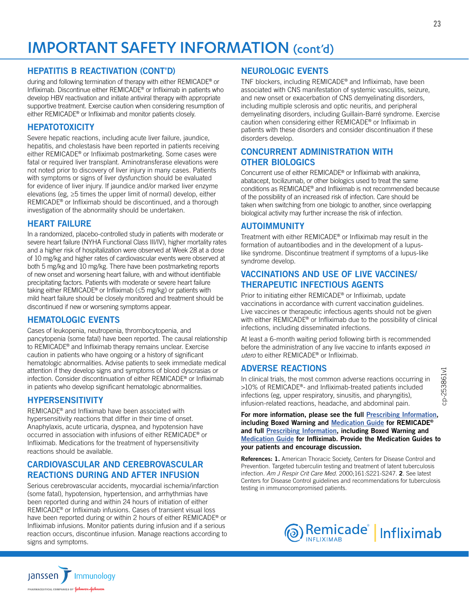# IMPORTANT SAFETY INFORMATION (cont'd)

## HEPATITIS B REACTIVATION (CONT'D)

during and following termination of therapy with either REMICADE® or Infliximab. Discontinue either REMICADE® or Infliximab in patients who develop HBV reactivation and initiate antiviral therapy with appropriate supportive treatment. Exercise caution when considering resumption of either REMICADE® or Infliximab and monitor patients closely.

## **HEPATOTOXICITY**

Severe hepatic reactions, including acute liver failure, jaundice, hepatitis, and cholestasis have been reported in patients receiving either REMICADE® or Infliximab postmarketing. Some cases were fatal or required liver transplant. Aminotransferase elevations were not noted prior to discovery of liver injury in many cases. Patients with symptoms or signs of liver dysfunction should be evaluated for evidence of liver injury. If jaundice and/or marked liver enzyme elevations (eg, ≥5 times the upper limit of normal) develop, either REMICADE® or Infliximab should be discontinued, and a thorough investigation of the abnormality should be undertaken.

## HEART FAILURE

In a randomized, placebo-controlled study in patients with moderate or severe heart failure (NYHA Functional Class III/IV), higher mortality rates and a higher risk of hospitalization were observed at Week 28 at a dose of 10 mg/kg and higher rates of cardiovascular events were observed at both 5 mg/kg and 10 mg/kg. There have been postmarketing reports of new onset and worsening heart failure, with and without identifiable precipitating factors. Patients with moderate or severe heart failure taking either REMICADE® or Infliximab (≤5 mg/kg) or patients with mild heart failure should be closely monitored and treatment should be discontinued if new or worsening symptoms appear.

## HEMATOLOGIC EVENTS

Cases of leukopenia, neutropenia, thrombocytopenia, and pancytopenia (some fatal) have been reported. The causal relationship to REMICADE® and Infliximab therapy remains unclear. Exercise caution in patients who have ongoing or a history of significant hematologic abnormalities. Advise patients to seek immediate medical attention if they develop signs and symptoms of blood dyscrasias or infection. Consider discontinuation of either REMICADE® or Infliximab in patients who develop significant hematologic abnormalities.

## HYPERSENSITIVITY

REMICADE® and Infliximab have been associated with hypersensitivity reactions that differ in their time of onset. Anaphylaxis, acute urticaria, dyspnea, and hypotension have occurred in association with infusions of either REMICADE® or Infliximab. Medications for the treatment of hypersensitivity reactions should be available.

## CARDIOVASCULAR AND CEREBROVASCULAR REACTIONS DURING AND AFTER INFUSION

Serious cerebrovascular accidents, myocardial ischemia/infarction (some fatal), hypotension, hypertension, and arrhythmias have been reported during and within 24 hours of initiation of either REMICADE® or Infliximab infusions. Cases of transient visual loss have been reported during or within 2 hours of either REMICADE® or Infliximab infusions. Monitor patients during infusion and if a serious reaction occurs, discontinue infusion. Manage reactions according to signs and symptoms.

## NEUROLOGIC EVENTS

TNF blockers, including REMICADE® and Infliximab, have been associated with CNS manifestation of systemic vasculitis, seizure, and new onset or exacerbation of CNS demyelinating disorders, including multiple sclerosis and optic neuritis, and peripheral demyelinating disorders, including Guillain-Barré syndrome. Exercise caution when considering either REMICADE® or Infliximab in patients with these disorders and consider discontinuation if these disorders develop.

## CONCURRENT ADMINISTRATION WITH OTHER BIOLOGICS

Concurrent use of either REMICADE® or Infliximab with anakinra, abatacept, tocilizumab, or other biologics used to treat the same conditions as REMICADE® and Infliximab is not recommended because of the possibility of an increased risk of infection. Care should be taken when switching from one biologic to another, since overlapping biological activity may further increase the risk of infection.

## AUTOIMMUNITY

Treatment with either REMICADE® or Infliximab may result in the formation of autoantibodies and in the development of a lupuslike syndrome. Discontinue treatment if symptoms of a lupus-like syndrome develop.

## VACCINATIONS AND USE OF LIVE VACCINES/ THERAPEUTIC INFECTIOUS AGENTS

Prior to initiating either REMICADE® or Infliximab, update vaccinations in accordance with current vaccination guidelines. Live vaccines or therapeutic infectious agents should not be given with either REMICADE<sup>®</sup> or Infliximab due to the possibility of clinical infections, including disseminated infections.

At least a 6-month waiting period following birth is recommended before the administration of any live vaccine to infants exposed *in utero* to either REMICADE® or Infliximab.

### ADVERSE REACTIONS

In clinical trials, the most common adverse reactions occurring in >10% of REMICADE®- and Infliximab-treated patients included infections (eg, upper respiratory, sinusitis, and pharyngitis), infusion-related reactions, headache, and abdominal pain.

For more information, please see the full [Prescribing Information](https://www.janssenlabels.com/package-insert/product-monograph/prescribing-information/REMICADE-pi.pdf), including Boxed Warning and [Medication Guide](https://www.janssenlabels.com/package-insert/product-patient-information/REMICADE-medication-guide.pdf) for REMICADE® and full [Prescribing Information,](https://janssenlabels.com/package-insert/product-monograph/prescribing-information/Infliximab-pi.pdf) including Boxed Warning and [Medication Guide](https://www.janssenlabels.com/package-insert/product-patient-information/Infliximab-medication-guide.pdf) for Infliximab. Provide the Medication Guides to your patients and encourage discussion.

References: 1. American Thoracic Society, Centers for Disease Control and Prevention. Targeted tuberculin testing and treatment of latent tuberculosis infection. *Am J Respir Crit Care Med*. 2000;161:S221-S247. 2. See latest Centers for Disease Control guidelines and recommendations for tuberculosis testing in immunocompromised patients.